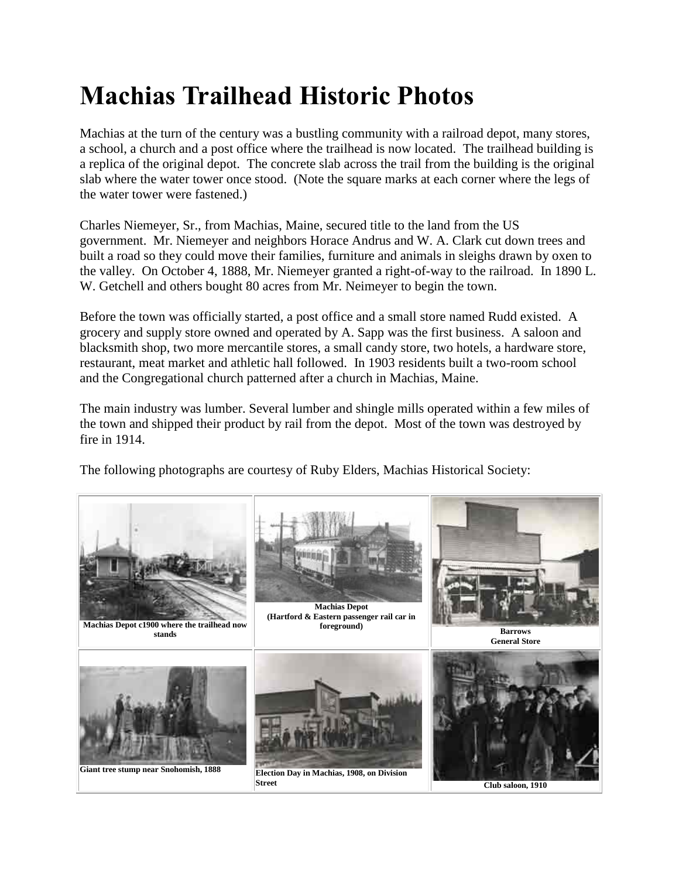## **Machias Trailhead Historic Photos**

Machias at the turn of the century was a bustling community with a railroad depot, many stores, a school, a church and a post office where the trailhead is now located. The trailhead building is a replica of the original depot. The concrete slab across the trail from the building is the original slab where the water tower once stood. (Note the square marks at each corner where the legs of the water tower were fastened.)

Charles Niemeyer, Sr., from Machias, Maine, secured title to the land from the US government. Mr. Niemeyer and neighbors Horace Andrus and W. A. Clark cut down trees and built a road so they could move their families, furniture and animals in sleighs drawn by oxen to the valley. On October 4, 1888, Mr. Niemeyer granted a right-of-way to the railroad. In 1890 L. W. Getchell and others bought 80 acres from Mr. Neimeyer to begin the town.

Before the town was officially started, a post office and a small store named Rudd existed. A grocery and supply store owned and operated by A. Sapp was the first business. A saloon and blacksmith shop, two more mercantile stores, a small candy store, two hotels, a hardware store, restaurant, meat market and athletic hall followed. In 1903 residents built a two-room school and the Congregational church patterned after a church in Machias, Maine.

The main industry was lumber. Several lumber and shingle mills operated within a few miles of the town and shipped their product by rail from the depot. Most of the town was destroyed by fire in 1914.

The following photographs are courtesy of Ruby Elders, Machias Historical Society: